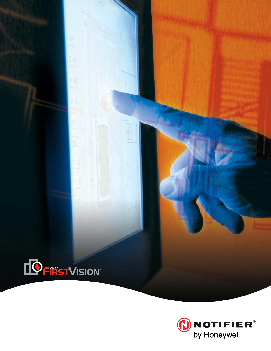

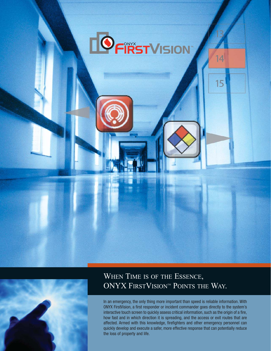



# WHEN TIME IS OF THE ESSENCE, ONYX FIRSTVISION<sup>TM</sup> POINTS THE WAY.

In an emergency, the only thing more important than speed is reliable information. With ONYX FirstVision, a first responder or incident commander goes directly to the system's interactive touch screen to quickly assess critical information, such as the origin of a fire, how fast and in which direction it is spreading, and the access or exit routes that are affected. Armed with this knowledge, firefighters and other emergency personnel can quickly develop and execute a safer, more effective response that can potentially reduce the loss of property and life.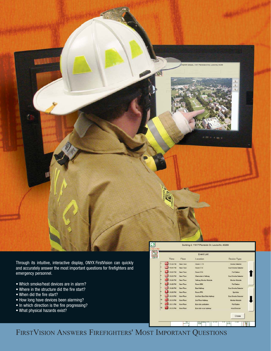

Through its intuitive, interactive display, ONYX FirstVision can quickly and accurately answer the most important questions for firefighters and emergency personnel.

- Which smoke/heat devices are in alarm?
- Where in the structure did the fire start?
- When did the fire start?
- How long have devices been alarming?
- In which direction is the fire progressing?
- What physical hazards exist?

|     | <b>Time</b>        | Floor     | I extation                  | Device Type                      |  |
|-----|--------------------|-----------|-----------------------------|----------------------------------|--|
| п   | 1:15:58 PM         | New Liner | 10som 1 1 14                | Smoke Detector                   |  |
| ×   | 1-16 01 PM         | New Floor | <b>Room EE 9</b>            | <b>Duct Smoke Detector</b>       |  |
| Þ   | 18:02 PM           | New Floor | Room EE9                    | Pull Station                     |  |
| k   | 18.03 PM           | New Floor | West side in Hallway        | <b>Church Sensities Deductor</b> |  |
| ь   | 1.16.04 PM         | New Floor | Hallway Monitor Mackule     | Monitor Module                   |  |
| k   | 1.16.05 PM         | New Floor | Ruom EE6                    | <b>Pull Stations</b>             |  |
| 7   | 1.16.06 PM         | New Floor | East Hallway                | Duct Smoke Detector              |  |
| 18  | 1:16:09 PM         | New Floor | Room FF9                    | <b>Sprinkler</b>                 |  |
| 5   | -1.16.10 PM        | New Floor | 2nd floor East Side Hallway | Duct Smoke Detector              |  |
| 10  | <b>41:16:10 PM</b> | New Floor | 2nd Floor Hallway           | Monitor Module                   |  |
| l۱۱ | 1:16:11 PM         | New Floor | East side pullswidon        | Pull Station                     |  |
| 12  | 1:16:15 PM         | New Floor | East side near stainway     | Heat Deservor                    |  |
|     |                    |           |                             | Close                            |  |

FIRSTVISION ANSWERS FIREFIGHTERS' MOST IMPORTANT QUESTIONS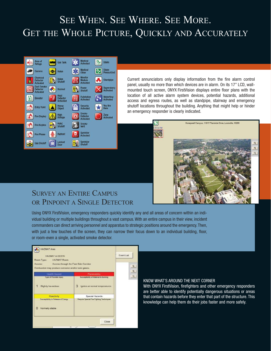# SEE WHEN. SEE WHERE. SEE MORE. GET THE WHOLE PICTURE, QUICKLY AND ACCURATELY



Current annunciators only display information from the fire alarm control panel, usually no more than which devices are in alarm. On its 17" LCD, wallmounted touch screen, ONYX FirstVision displays entire floor plans with the location of all active alarm system devices, potential hazards, additional access and egress routes, as well as standpipe, stairway and emergency shutoff locations throughout the building. Anything that might help or hinder an emergency responder is clearly indicated.



### SURVEY AN ENTIRE CAMPUS OR PINPOINT A SINGLE DETECTOR

Using ONYX FirstVision, emergency responders quickly identify any and all areas of concern within an individual building or multiple buildings throughout a vast campus. With an entire campus in their view, incident commanders can direct arriving personnel and apparatus to strategic positions around the emergency. Then, with just a few touches of the screen, they can narrow their focus down to an individual building, floor, or room-even a single, activated smoke detector.

| <b>HAZMAT Area</b><br><b>HAZMAT In EE27A</b><br>Room Type:<br>HAZMAT Room                                 | Event List                                                                               |        |
|-----------------------------------------------------------------------------------------------------------|------------------------------------------------------------------------------------------|--------|
| Access through the Fast Side Corridor<br>Accesso:<br>Combustion may produce corrosive and/or toxic gases. |                                                                                          | 鬼<br>R |
| Health Hazard                                                                                             | Fiammability                                                                             | R      |
| Type of Possible Injury<br>Slightly hazardous:                                                            | Susceptibility of Material to Burning<br>$\mathbf{3}$<br>tgnites at normal temperatures. |        |
| Reactivity<br>Susceptibility to Release of Energy<br>Ω<br>Normally stable                                 | Special Hazards<br>Require Special Fire Fighting Techniques                              |        |
| Ÿč.                                                                                                       | Close                                                                                    |        |

#### KNOW WHAT'S AROUND THE NEXT CORNER

With ONYX FirstVision, firefighters and other emergency responders are better able to identify potentially dangerous situations or areas that contain hazards before they enter that part of the structure. This knowledge can help them do their jobs faster and more safely.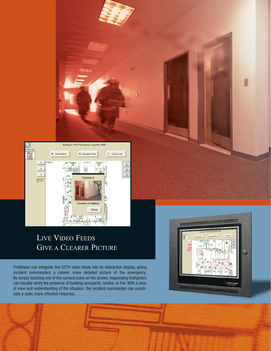

# LIVE VIDEO FEEDS GIVE A CLEARER PICTURE

FirstVision can integrate live CCTV video feeds into its interactive display, giving incident commanders a clearer, more detailed picture of the emergency. By simply touching one of the camera icons on the screen, responding firefighters can visually verify the presence of building occupants, smoke, or fire. With a clear of view and understanding of the situation, the incident commander can coordinate a safer, more effective response.